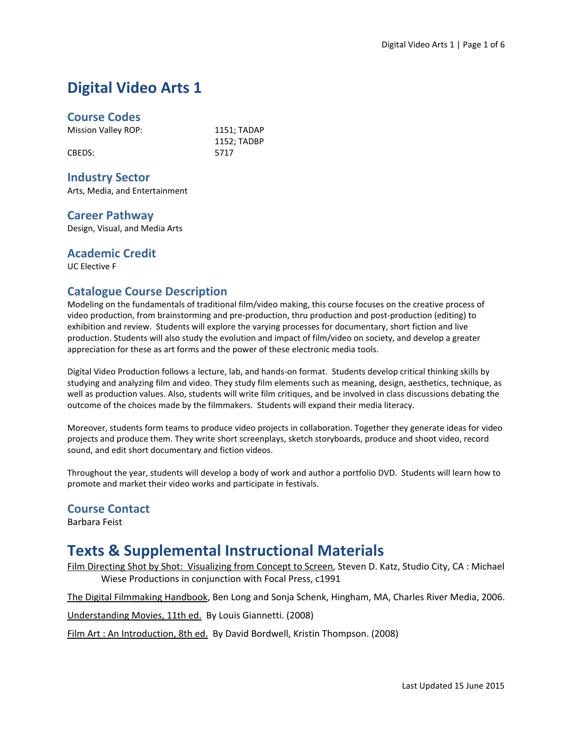# **Digital Video Arts 1**

#### **Course Codes**

Mission Valley ROP: 1151; TADAP

CBEDS: 5717

1152; TADBP

#### **Industry Sector**

Arts, Media, and Entertainment

#### **Career Pathway**

Design, Visual, and Media Arts

#### **Academic Credit**

UC Elective F

#### **Catalogue Course Description**

Modeling on the fundamentals of traditional film/video making, this course focuses on the creative process of video production, from brainstorming and pre-production, thru production and post-production (editing) to exhibition and review. Students will explore the varying processes for documentary, short fiction and live production. Students will also study the evolution and impact of film/video on society, and develop a greater appreciation for these as art forms and the power of these electronic media tools.

Digital Video Production follows a lecture, lab, and hands-on format. Students develop critical thinking skills by studying and analyzing film and video. They study film elements such as meaning, design, aesthetics, technique, as well as production values. Also, students will write film critiques, and be involved in class discussions debating the outcome of the choices made by the filmmakers. Students will expand their media literacy.

Moreover, students form teams to produce video projects in collaboration. Together they generate ideas for video projects and produce them. They write short screenplays, sketch storyboards, produce and shoot video, record sound, and edit short documentary and fiction videos.

Throughout the year, students will develop a body of work and author a portfolio DVD. Students will learn how to promote and market their video works and participate in festivals.

#### **Course Contact**

Barbara Feist

## **Texts & Supplemental Instructional Materials**

Film Directing Shot by Shot: Visualizing from Concept to Screen, Steven D. Katz, Studio City, CA : Michael Wiese Productions in conjunction with Focal Press, c1991

The Digital Filmmaking Handbook, Ben Long and Sonja Schenk, Hingham, MA, Charles River Media, 2006.

Understanding Movies, 11th ed. By Louis Giannetti. (2008)

Film Art : An Introduction, 8th ed. By David Bordwell, Kristin Thompson. (2008)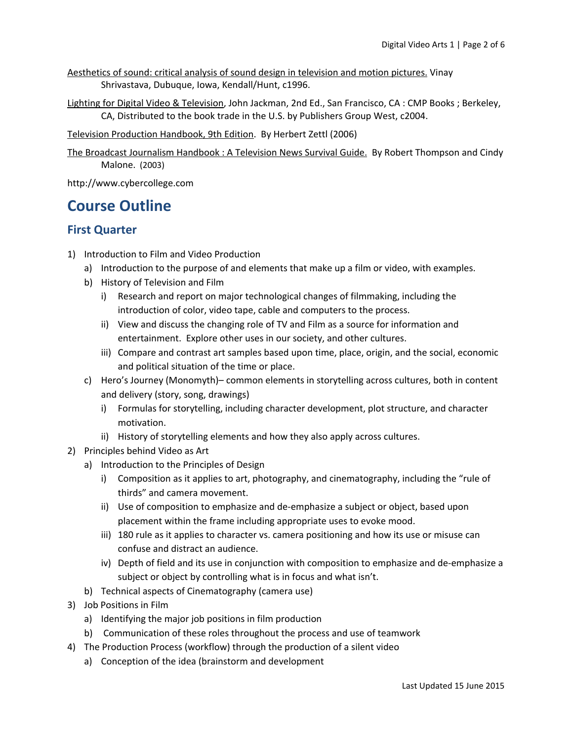- Aesthetics of sound: critical analysis of sound design in television and motion pictures. Vinay Shrivastava, Dubuque, Iowa, Kendall/Hunt, c1996.
- Lighting for Digital Video & Television, John Jackman, 2nd Ed., San Francisco, CA : CMP Books ; Berkeley, CA, Distributed to the book trade in the U.S. by Publishers Group West, c2004.

Television Production Handbook, 9th Edition. By Herbert Zettl (2006)

The Broadcast Journalism Handbook : A Television News Survival Guide. By Robert Thompson and Cindy Malone. (2003)

http://www.cybercollege.com

## **Course Outline**

#### **First Quarter**

- 1) Introduction to Film and Video Production
	- a) Introduction to the purpose of and elements that make up a film or video, with examples.
	- b) History of Television and Film
		- i) Research and report on major technological changes of filmmaking, including the introduction of color, video tape, cable and computers to the process.
		- ii) View and discuss the changing role of TV and Film as a source for information and entertainment. Explore other uses in our society, and other cultures.
		- iii) Compare and contrast art samples based upon time, place, origin, and the social, economic and political situation of the time or place.
	- c) Hero's Journey (Monomyth)– common elements in storytelling across cultures, both in content and delivery (story, song, drawings)
		- i) Formulas for storytelling, including character development, plot structure, and character motivation.
		- ii) History of storytelling elements and how they also apply across cultures.
- 2) Principles behind Video as Art
	- a) Introduction to the Principles of Design
		- i) Composition as it applies to art, photography, and cinematography, including the "rule of thirds" and camera movement.
		- ii) Use of composition to emphasize and de-emphasize a subject or object, based upon placement within the frame including appropriate uses to evoke mood.
		- iii) 180 rule as it applies to character vs. camera positioning and how its use or misuse can confuse and distract an audience.
		- iv) Depth of field and its use in conjunction with composition to emphasize and de-emphasize a subject or object by controlling what is in focus and what isn't.
	- b) Technical aspects of Cinematography (camera use)
- 3) Job Positions in Film
	- a) Identifying the major job positions in film production
	- b) Communication of these roles throughout the process and use of teamwork
- 4) The Production Process (workflow) through the production of a silent video
	- a) Conception of the idea (brainstorm and development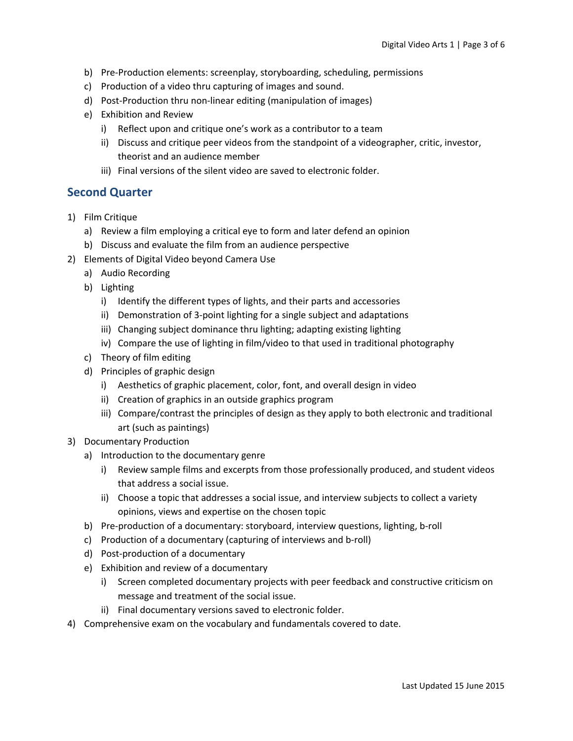- b) Pre-Production elements: screenplay, storyboarding, scheduling, permissions
- c) Production of a video thru capturing of images and sound.
- d) Post-Production thru non-linear editing (manipulation of images)
- e) Exhibition and Review
	- i) Reflect upon and critique one's work as a contributor to a team
	- ii) Discuss and critique peer videos from the standpoint of a videographer, critic, investor, theorist and an audience member
	- iii) Final versions of the silent video are saved to electronic folder.

#### **Second Quarter**

- 1) Film Critique
	- a) Review a film employing a critical eye to form and later defend an opinion
	- b) Discuss and evaluate the film from an audience perspective
- 2) Elements of Digital Video beyond Camera Use
	- a) Audio Recording
	- b) Lighting
		- i) Identify the different types of lights, and their parts and accessories
		- ii) Demonstration of 3-point lighting for a single subject and adaptations
		- iii) Changing subject dominance thru lighting; adapting existing lighting
		- iv) Compare the use of lighting in film/video to that used in traditional photography
	- c) Theory of film editing
	- d) Principles of graphic design
		- i) Aesthetics of graphic placement, color, font, and overall design in video
		- ii) Creation of graphics in an outside graphics program
		- iii) Compare/contrast the principles of design as they apply to both electronic and traditional art (such as paintings)
- 3) Documentary Production
	- a) Introduction to the documentary genre
		- i) Review sample films and excerpts from those professionally produced, and student videos that address a social issue.
		- ii) Choose a topic that addresses a social issue, and interview subjects to collect a variety opinions, views and expertise on the chosen topic
	- b) Pre-production of a documentary: storyboard, interview questions, lighting, b-roll
	- c) Production of a documentary (capturing of interviews and b-roll)
	- d) Post-production of a documentary
	- e) Exhibition and review of a documentary
		- i) Screen completed documentary projects with peer feedback and constructive criticism on message and treatment of the social issue.
		- ii) Final documentary versions saved to electronic folder.
- 4) Comprehensive exam on the vocabulary and fundamentals covered to date.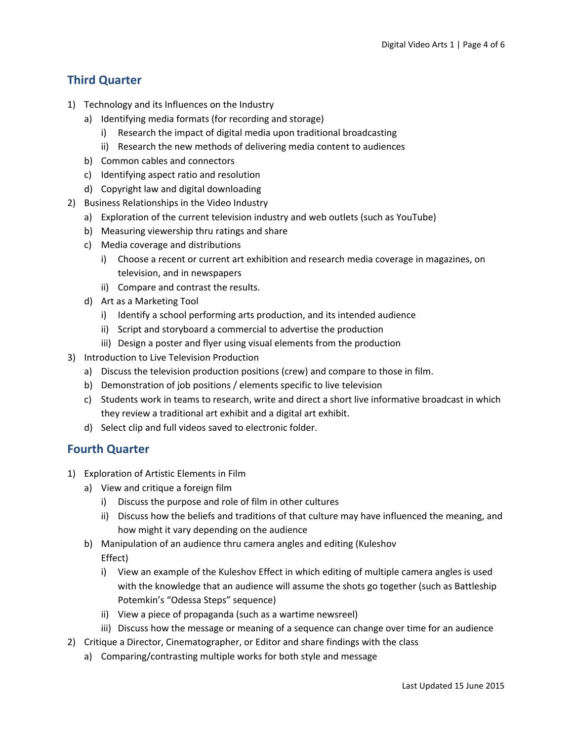### **Third Quarter**

- 1) Technology and its Influences on the Industry
	- a) Identifying media formats (for recording and storage)
		- i) Research the impact of digital media upon traditional broadcasting
		- ii) Research the new methods of delivering media content to audiences
	- b) Common cables and connectors
	- c) Identifying aspect ratio and resolution
	- d) Copyright law and digital downloading
- 2) Business Relationships in the Video Industry
	- a) Exploration of the current television industry and web outlets (such as YouTube)
	- b) Measuring viewership thru ratings and share
	- c) Media coverage and distributions
		- i) Choose a recent or current art exhibition and research media coverage in magazines, on television, and in newspapers
		- ii) Compare and contrast the results.
	- d) Art as a Marketing Tool
		- i) Identify a school performing arts production, and its intended audience
		- ii) Script and storyboard a commercial to advertise the production
		- iii) Design a poster and flyer using visual elements from the production
- 3) Introduction to Live Television Production
	- a) Discuss the television production positions (crew) and compare to those in film.
	- b) Demonstration of job positions / elements specific to live television
	- c) Students work in teams to research, write and direct a short live informative broadcast in which they review a traditional art exhibit and a digital art exhibit.
	- d) Select clip and full videos saved to electronic folder.

#### **Fourth Quarter**

- 1) Exploration of Artistic Elements in Film
	- a) View and critique a foreign film
		- i) Discuss the purpose and role of film in other cultures
		- ii) Discuss how the beliefs and traditions of that culture may have influenced the meaning, and how might it vary depending on the audience
	- b) Manipulation of an audience thru camera angles and editing (Kuleshov Effect)
		- i) View an example of the Kuleshov Effect in which editing of multiple camera angles is used with the knowledge that an audience will assume the shots go together (such as Battleship Potemkin's "Odessa Steps" sequence)
		- ii) View a piece of propaganda (such as a wartime newsreel)
		- iii) Discuss how the message or meaning of a sequence can change over time for an audience
- 2) Critique a Director, Cinematographer, or Editor and share findings with the class
	- a) Comparing/contrasting multiple works for both style and message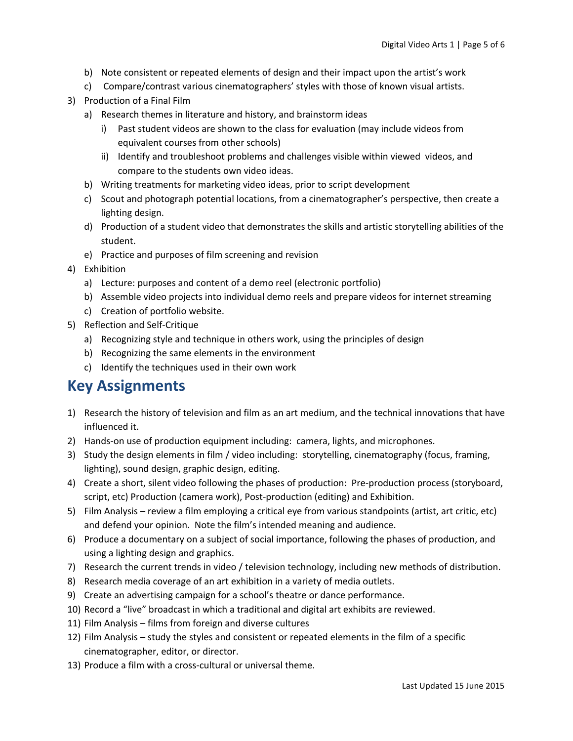- b) Note consistent or repeated elements of design and their impact upon the artist's work
- c) Compare/contrast various cinematographers' styles with those of known visual artists.
- 3) Production of a Final Film
	- a) Research themes in literature and history, and brainstorm ideas
		- i) Past student videos are shown to the class for evaluation (may include videos from equivalent courses from other schools)
		- ii) Identify and troubleshoot problems and challenges visible within viewed videos, and compare to the students own video ideas.
	- b) Writing treatments for marketing video ideas, prior to script development
	- c) Scout and photograph potential locations, from a cinematographer's perspective, then create a lighting design.
	- d) Production of a student video that demonstrates the skills and artistic storytelling abilities of the student.
	- e) Practice and purposes of film screening and revision
- 4) Exhibition
	- a) Lecture: purposes and content of a demo reel (electronic portfolio)
	- b) Assemble video projects into individual demo reels and prepare videos for internet streaming
	- c) Creation of portfolio website.
- 5) Reflection and Self-Critique
	- a) Recognizing style and technique in others work, using the principles of design
	- b) Recognizing the same elements in the environment
	- c) Identify the techniques used in their own work

### **Key Assignments**

- 1) Research the history of television and film as an art medium, and the technical innovations that have influenced it.
- 2) Hands-on use of production equipment including: camera, lights, and microphones.
- 3) Study the design elements in film / video including: storytelling, cinematography (focus, framing, lighting), sound design, graphic design, editing.
- 4) Create a short, silent video following the phases of production: Pre-production process (storyboard, script, etc) Production (camera work), Post-production (editing) and Exhibition.
- 5) Film Analysis review a film employing a critical eye from various standpoints (artist, art critic, etc) and defend your opinion. Note the film's intended meaning and audience.
- 6) Produce a documentary on a subject of social importance, following the phases of production, and using a lighting design and graphics.
- 7) Research the current trends in video / television technology, including new methods of distribution.
- 8) Research media coverage of an art exhibition in a variety of media outlets.
- 9) Create an advertising campaign for a school's theatre or dance performance.
- 10) Record a "live" broadcast in which a traditional and digital art exhibits are reviewed.
- 11) Film Analysis films from foreign and diverse cultures
- 12) Film Analysis study the styles and consistent or repeated elements in the film of a specific cinematographer, editor, or director.
- 13) Produce a film with a cross-cultural or universal theme.